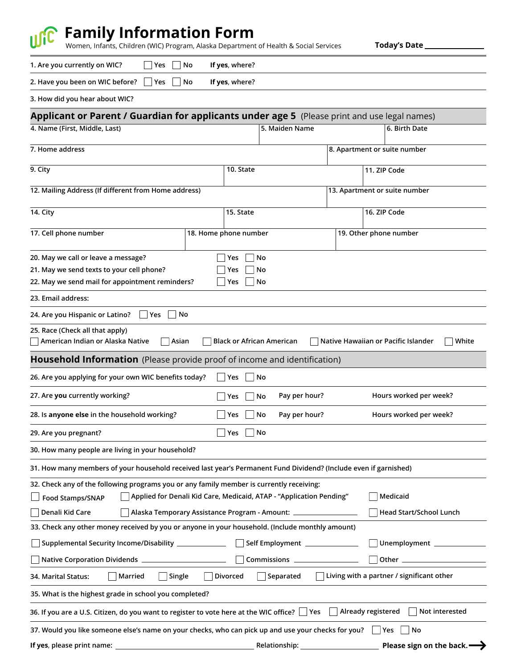

# **Family Information Form**

Women, Infants, Children (WIC) Program, Alaska Department of Health & Social Services

**Today's Date**

**1. Are you currently on WIC? Yes No If yes**, **where?**  $\Box$ 

| 2. Have you been on WIC before? Yes No If yes, where? |  |  |  |  |
|-------------------------------------------------------|--|--|--|--|
|-------------------------------------------------------|--|--|--|--|

**3. How did you hear about WIC?**

| Applicant or Parent / Guardian for applicants under age 5 (Please print and use legal names)                                                                                                                                                                                                      |                                  |                                                                                                               |                               |                                                         |  |
|---------------------------------------------------------------------------------------------------------------------------------------------------------------------------------------------------------------------------------------------------------------------------------------------------|----------------------------------|---------------------------------------------------------------------------------------------------------------|-------------------------------|---------------------------------------------------------|--|
| 4. Name (First, Middle, Last)                                                                                                                                                                                                                                                                     |                                  | 5. Maiden Name<br>6. Birth Date                                                                               |                               |                                                         |  |
| 7. Home address                                                                                                                                                                                                                                                                                   |                                  |                                                                                                               | 8. Apartment or suite number  |                                                         |  |
| 9. City                                                                                                                                                                                                                                                                                           | 10. State                        |                                                                                                               | 11. ZIP Code                  |                                                         |  |
| 12. Mailing Address (If different from Home address)                                                                                                                                                                                                                                              |                                  |                                                                                                               | 13. Apartment or suite number |                                                         |  |
| 14. City                                                                                                                                                                                                                                                                                          | 15. State                        |                                                                                                               |                               | 16. ZIP Code                                            |  |
| 17. Cell phone number                                                                                                                                                                                                                                                                             | 18. Home phone number            | 19. Other phone number                                                                                        |                               |                                                         |  |
| 20. May we call or leave a message?<br>21. May we send texts to your cell phone?<br>22. May we send mail for appointment reminders?                                                                                                                                                               | Yes<br>Yes<br>Yes                | No<br>No<br>No                                                                                                |                               |                                                         |  |
| 23. Email address:                                                                                                                                                                                                                                                                                |                                  |                                                                                                               |                               |                                                         |  |
| No<br>24. Are you Hispanic or Latino?<br>Yes                                                                                                                                                                                                                                                      |                                  |                                                                                                               |                               |                                                         |  |
| 25. Race (Check all that apply)<br>American Indian or Alaska Native<br>Asian                                                                                                                                                                                                                      | <b>Black or African American</b> |                                                                                                               |                               | Native Hawaiian or Pacific Islander<br>White            |  |
| <b>Household Information</b> (Please provide proof of income and identification)                                                                                                                                                                                                                  |                                  |                                                                                                               |                               |                                                         |  |
| 26. Are you applying for your own WIC benefits today?                                                                                                                                                                                                                                             | Yes<br>$\mathsf{L}$              | No                                                                                                            |                               |                                                         |  |
| 27. Are you currently working?                                                                                                                                                                                                                                                                    | Yes                              | Pay per hour?<br>No                                                                                           |                               | Hours worked per week?                                  |  |
| 28. Is anyone else in the household working?                                                                                                                                                                                                                                                      | Yes                              | Pay per hour?<br>No                                                                                           |                               | Hours worked per week?                                  |  |
| 29. Are you pregnant?                                                                                                                                                                                                                                                                             | $\Box$ Yes                       | No                                                                                                            |                               |                                                         |  |
| 30. How many people are living in your household?                                                                                                                                                                                                                                                 |                                  |                                                                                                               |                               |                                                         |  |
| 31. How many members of your household received last year's Permanent Fund Dividend? (Include even if garnished)                                                                                                                                                                                  |                                  |                                                                                                               |                               |                                                         |  |
| 32. Check any of the following programs you or any family member is currently receiving:<br>Applied for Denali Kid Care, Medicaid, ATAP - "Application Pending"<br>$\Box$ Food Stamps/SNAP<br>Denali Kid Care<br>Alaska Temporary Assistance Program - Amount: __________________________________ |                                  |                                                                                                               |                               | Medicaid<br><b>Head Start/School Lunch</b>              |  |
| 33. Check any other money received by you or anyone in your household. (Include monthly amount)                                                                                                                                                                                                   |                                  |                                                                                                               |                               |                                                         |  |
| Supplemental Security Income/Disability _____________                                                                                                                                                                                                                                             |                                  | Self Employment ________________                                                                              |                               |                                                         |  |
|                                                                                                                                                                                                                                                                                                   |                                  |                                                                                                               |                               |                                                         |  |
| Married<br>$\sqsupset$ Single<br>34. Marital Status:                                                                                                                                                                                                                                              | Divorced                         | Separated                                                                                                     |                               | $\Box$ Living with a partner / significant other        |  |
| 35. What is the highest grade in school you completed?                                                                                                                                                                                                                                            |                                  |                                                                                                               |                               |                                                         |  |
| 36. If you are a U.S. Citizen, do you want to register to vote here at the WIC office? $\bigsqcup$ Yes                                                                                                                                                                                            |                                  |                                                                                                               | Already registered            | Not interested                                          |  |
| 37. Would you like someone else's name on your checks, who can pick up and use your checks for you?<br><b>If yes</b> , please print name: <b>Example 2</b>                                                                                                                                        |                                  | Relationship: and the set of the set of the set of the set of the set of the set of the set of the set of the |                               | Yes<br>No<br>Please sign on the back. $\longrightarrow$ |  |